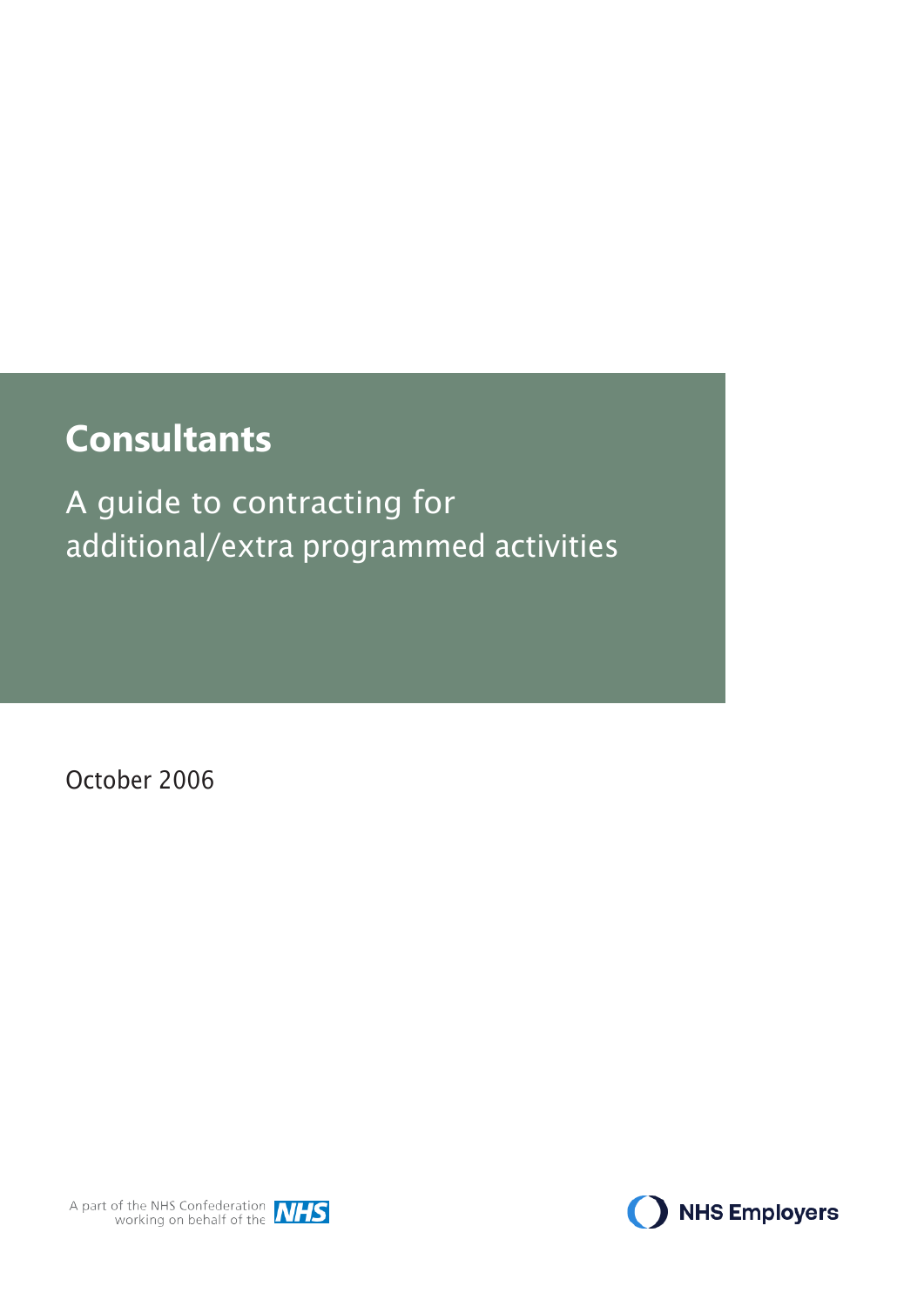# **Consultants**

A guide to contracting for additional/extra programmed activities

October 2006



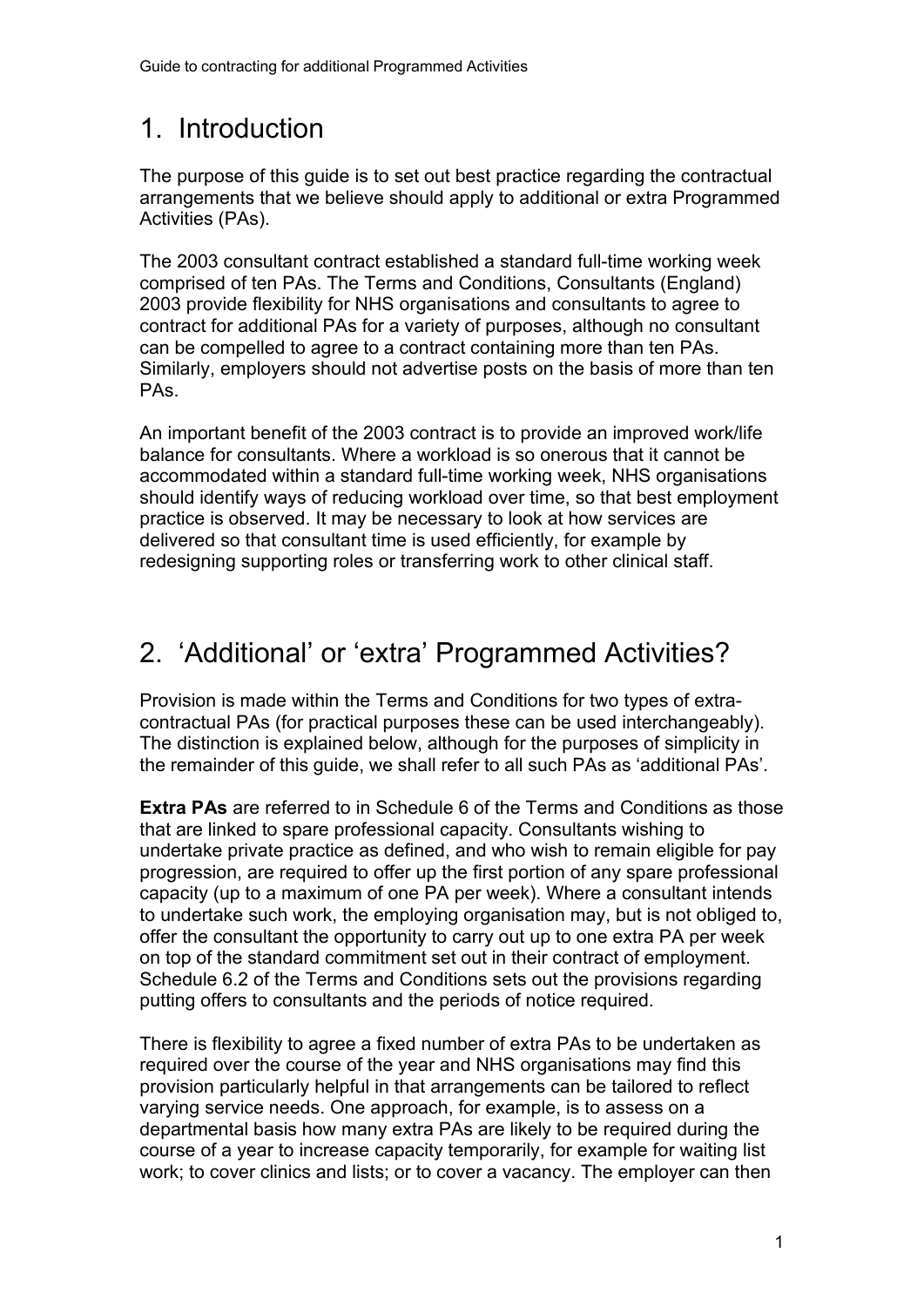# 1. Introduction

The purpose of this guide is to set out best practice regarding the contractual arrangements that we believe should apply to additional or extra Programmed Activities (PAs).

The 2003 consultant contract established a standard full-time working week comprised of ten PAs. The Terms and Conditions, Consultants (England) 2003 provide flexibility for NHS organisations and consultants to agree to contract for additional PAs for a variety of purposes, although no consultant can be compelled to agree to a contract containing more than ten PAs. Similarly, employers should not advertise posts on the basis of more than ten PAs.

An important benefit of the 2003 contract is to provide an improved work/life balance for consultants. Where a workload is so onerous that it cannot be accommodated within a standard full-time working week, NHS organisations should identify ways of reducing workload over time, so that best employment practice is observed. It may be necessary to look at how services are delivered so that consultant time is used efficiently, for example by redesigning supporting roles or transferring work to other clinical staff.

# 2. 'Additional' or 'extra' Programmed Activities?

Provision is made within the Terms and Conditions for two types of extracontractual PAs (for practical purposes these can be used interchangeably). The distinction is explained below, although for the purposes of simplicity in the remainder of this guide, we shall refer to all such PAs as 'additional PAs'.

**Extra PAs** are referred to in Schedule 6 of the Terms and Conditions as those that are linked to spare professional capacity. Consultants wishing to undertake private practice as defined, and who wish to remain eligible for pay progression, are required to offer up the first portion of any spare professional capacity (up to a maximum of one PA per week). Where a consultant intends to undertake such work, the employing organisation may, but is not obliged to, offer the consultant the opportunity to carry out up to one extra PA per week on top of the standard commitment set out in their contract of employment. Schedule 6.2 of the Terms and Conditions sets out the provisions regarding putting offers to consultants and the periods of notice required.

There is flexibility to agree a fixed number of extra PAs to be undertaken as required over the course of the year and NHS organisations may find this provision particularly helpful in that arrangements can be tailored to reflect varying service needs. One approach, for example, is to assess on a departmental basis how many extra PAs are likely to be required during the course of a year to increase capacity temporarily, for example for waiting list work; to cover clinics and lists; or to cover a vacancy. The employer can then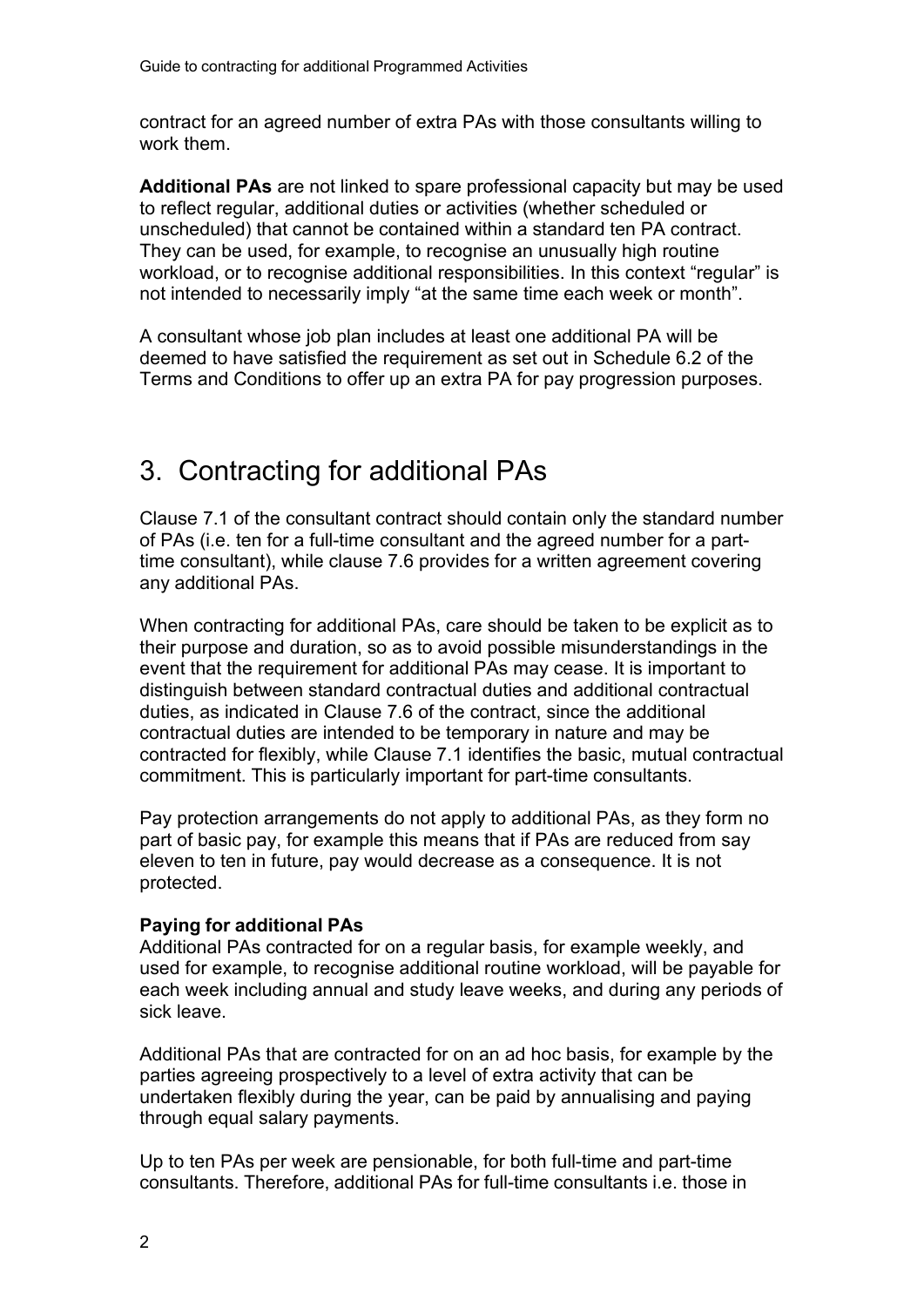contract for an agreed number of extra PAs with those consultants willing to work them.

**Additional PAs** are not linked to spare professional capacity but may be used to reflect regular, additional duties or activities (whether scheduled or unscheduled) that cannot be contained within a standard ten PA contract. They can be used, for example, to recognise an unusually high routine workload, or to recognise additional responsibilities. In this context "regular" is not intended to necessarily imply "at the same time each week or month".

A consultant whose job plan includes at least one additional PA will be deemed to have satisfied the requirement as set out in Schedule 6.2 of the Terms and Conditions to offer up an extra PA for pay progression purposes.

# 3. Contracting for additional PAs

Clause 7.1 of the consultant contract should contain only the standard number of PAs (i.e. ten for a full-time consultant and the agreed number for a parttime consultant), while clause 7.6 provides for a written agreement covering any additional PAs.

When contracting for additional PAs, care should be taken to be explicit as to their purpose and duration, so as to avoid possible misunderstandings in the event that the requirement for additional PAs may cease. It is important to distinguish between standard contractual duties and additional contractual duties, as indicated in Clause 7.6 of the contract, since the additional contractual duties are intended to be temporary in nature and may be contracted for flexibly, while Clause 7.1 identifies the basic, mutual contractual commitment. This is particularly important for part-time consultants.

Pay protection arrangements do not apply to additional PAs, as they form no part of basic pay, for example this means that if PAs are reduced from say eleven to ten in future, pay would decrease as a consequence. It is not protected.

#### **Paying for additional PAs**

Additional PAs contracted for on a regular basis, for example weekly, and used for example, to recognise additional routine workload, will be payable for each week including annual and study leave weeks, and during any periods of sick leave.

Additional PAs that are contracted for on an ad hoc basis, for example by the parties agreeing prospectively to a level of extra activity that can be undertaken flexibly during the year, can be paid by annualising and paying through equal salary payments.

Up to ten PAs per week are pensionable, for both full-time and part-time consultants. Therefore, additional PAs for full-time consultants i.e. those in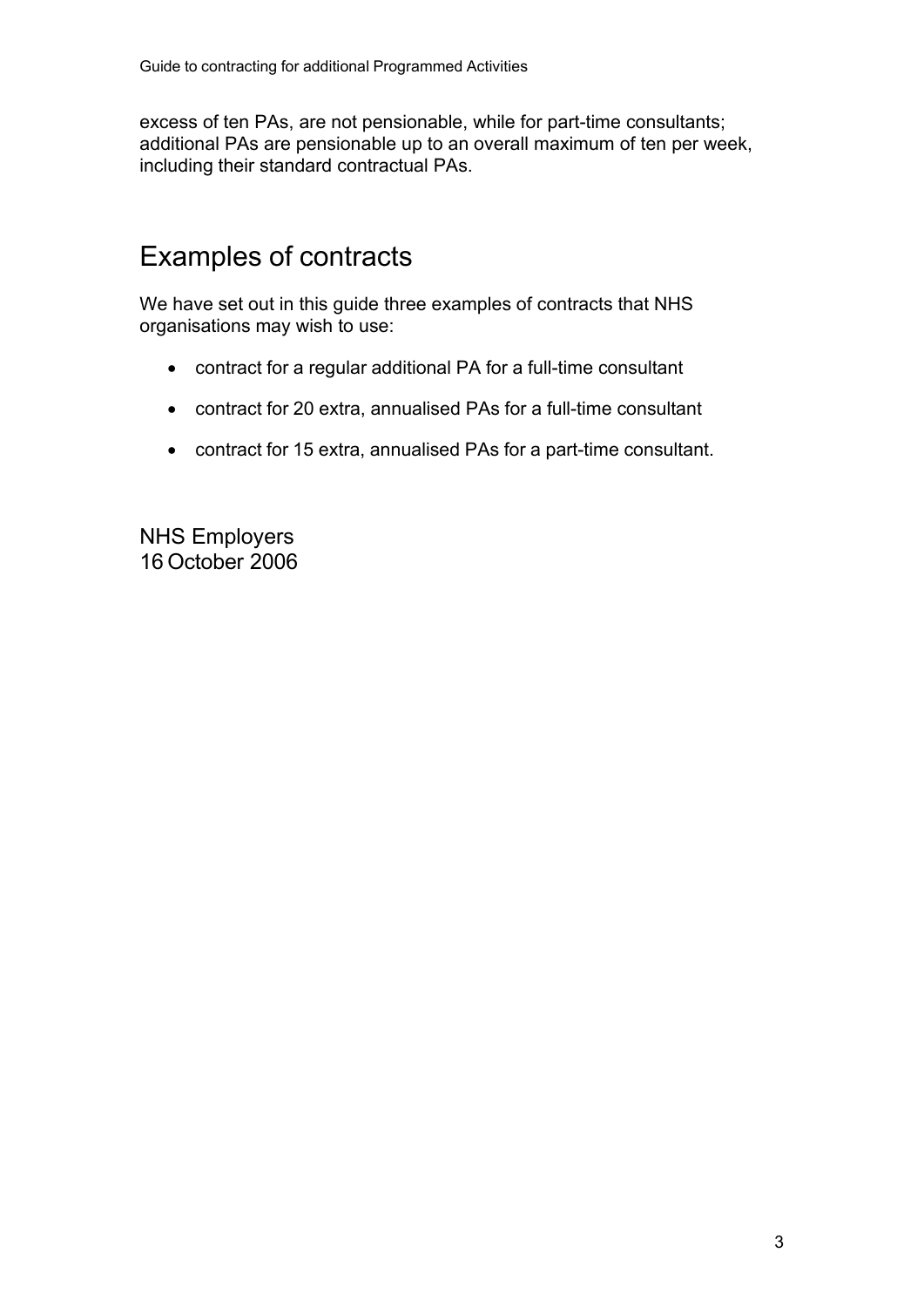excess of ten PAs, are not pensionable, while for part-time consultants; additional PAs are pensionable up to an overall maximum of ten per week, including their standard contractual PAs.

## Examples of contracts

We have set out in this guide three examples of contracts that NHS organisations may wish to use:

- contract for a regular additional PA for a full-time consultant
- contract for 20 extra, annualised PAs for a full-time consultant
- contract for 15 extra, annualised PAs for a part-time consultant.

NHS Employers 16 October 2006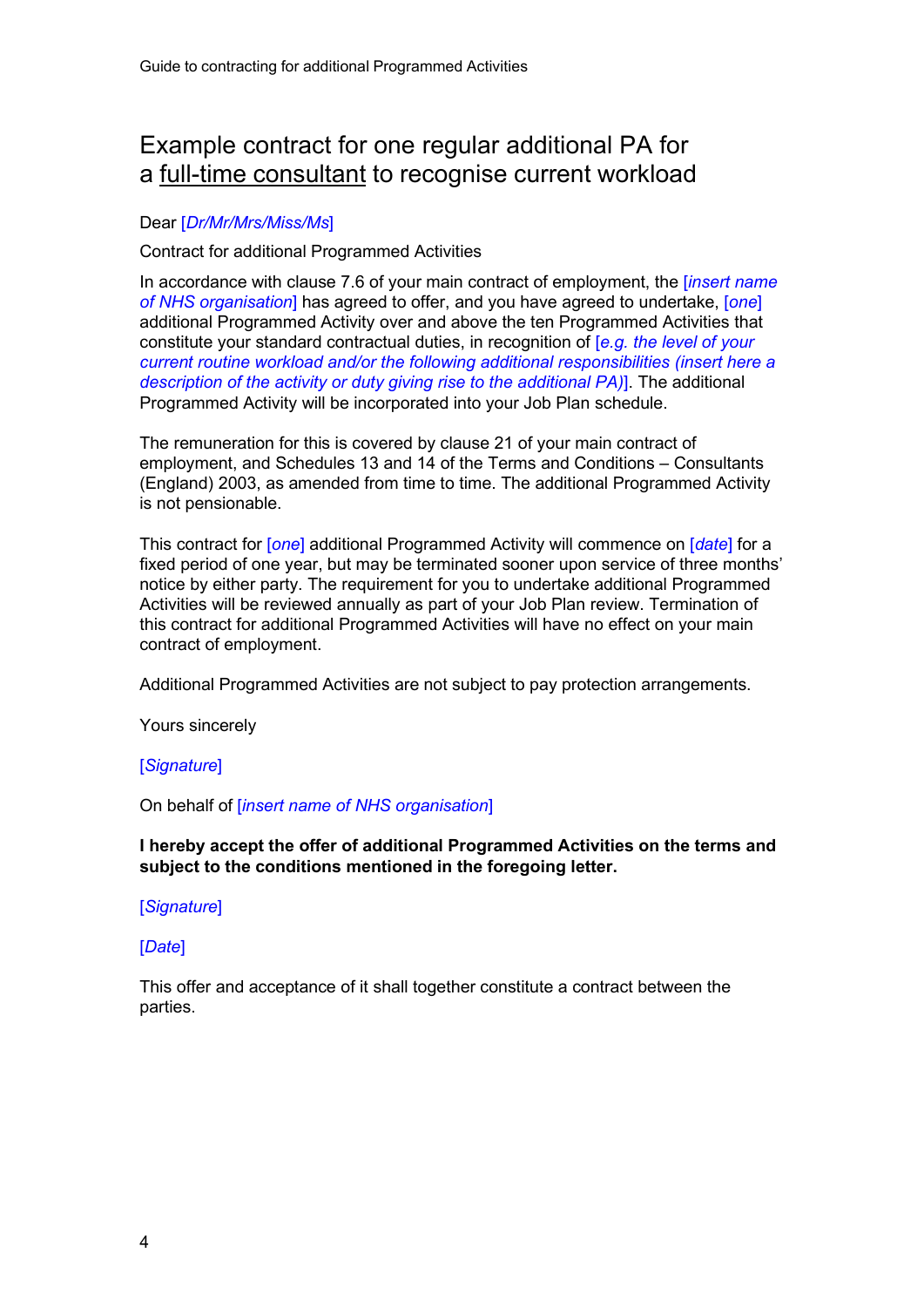### Example contract for one regular additional PA for a full-time consultant to recognise current workload

#### Dear [*Dr/Mr/Mrs/Miss/Ms*]

#### Contract for additional Programmed Activities

In accordance with clause 7.6 of your main contract of employment, the [*insert name of NHS organisation*] has agreed to offer, and you have agreed to undertake, [*one*] additional Programmed Activity over and above the ten Programmed Activities that constitute your standard contractual duties, in recognition of [*e.g. the level of your current routine workload and/or the following additional responsibilities (insert here a description of the activity or duty giving rise to the additional PA)*]. The additional Programmed Activity will be incorporated into your Job Plan schedule.

The remuneration for this is covered by clause 21 of your main contract of employment, and Schedules 13 and 14 of the Terms and Conditions – Consultants (England) 2003, as amended from time to time. The additional Programmed Activity is not pensionable.

This contract for [*one*] additional Programmed Activity will commence on [*date*] for a fixed period of one year, but may be terminated sooner upon service of three months' notice by either party. The requirement for you to undertake additional Programmed Activities will be reviewed annually as part of your Job Plan review. Termination of this contract for additional Programmed Activities will have no effect on your main contract of employment.

Additional Programmed Activities are not subject to pay protection arrangements.

Yours sincerely

#### [*Signature*]

#### On behalf of [*insert name of NHS organisation*]

#### **I hereby accept the offer of additional Programmed Activities on the terms and subject to the conditions mentioned in the foregoing letter.**

#### [*Signature*]

#### [*Date*]

This offer and acceptance of it shall together constitute a contract between the parties.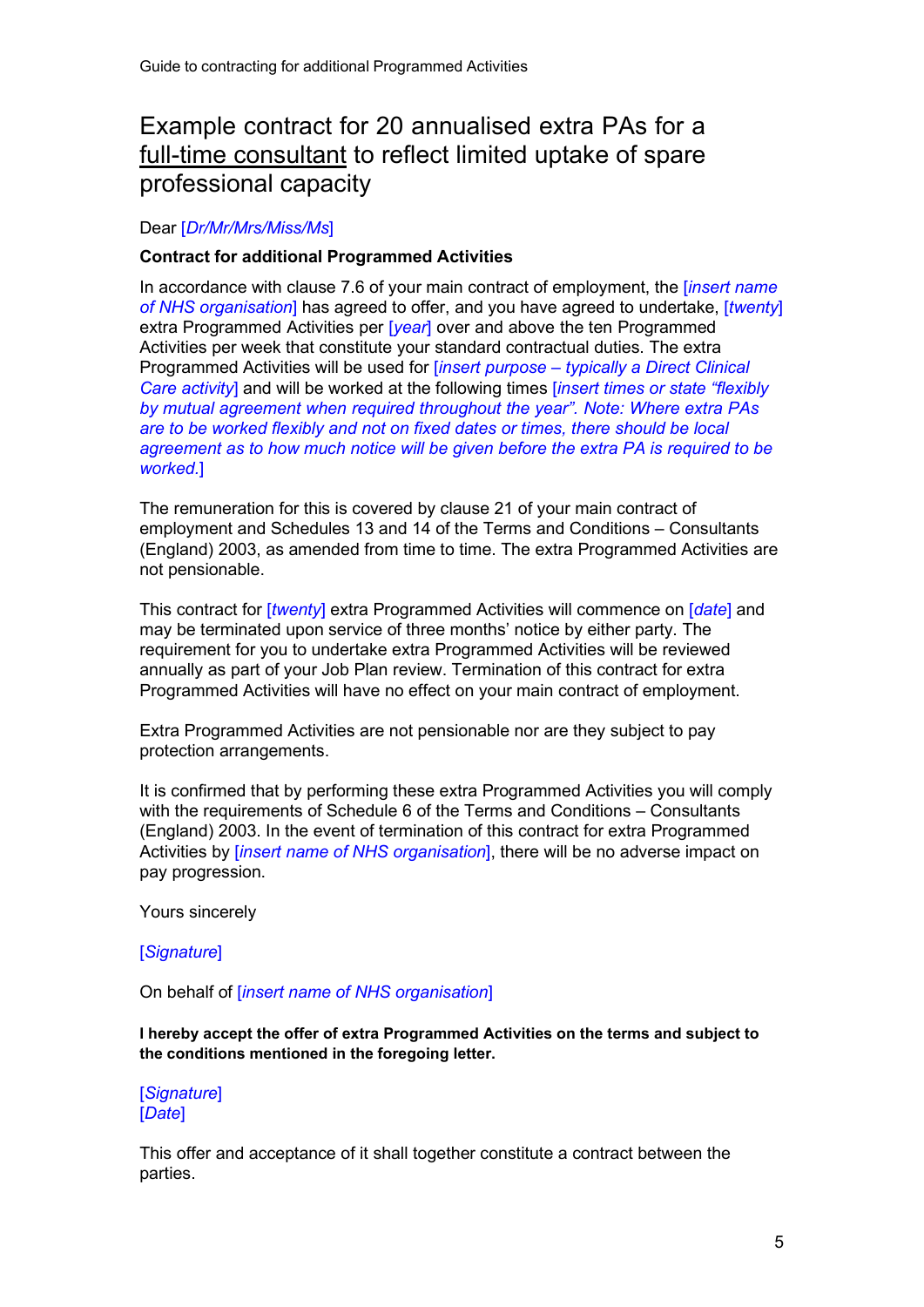### Example contract for 20 annualised extra PAs for a full-time consultant to reflect limited uptake of spare professional capacity

#### Dear [*Dr/Mr/Mrs/Miss/Ms*]

#### **Contract for additional Programmed Activities**

In accordance with clause 7.6 of your main contract of employment, the [*insert name of NHS organisation*] has agreed to offer, and you have agreed to undertake, [*twenty*] extra Programmed Activities per [*year*] over and above the ten Programmed Activities per week that constitute your standard contractual duties. The extra Programmed Activities will be used for [*insert purpose – typically a Direct Clinical Care activity*] and will be worked at the following times [*insert times or state "flexibly by mutual agreement when required throughout the year". Note: Where extra PAs are to be worked flexibly and not on fixed dates or times, there should be local agreement as to how much notice will be given before the extra PA is required to be worked.*]

The remuneration for this is covered by clause 21 of your main contract of employment and Schedules 13 and 14 of the Terms and Conditions – Consultants (England) 2003, as amended from time to time. The extra Programmed Activities are not pensionable.

This contract for [*twenty*] extra Programmed Activities will commence on [*date*] and may be terminated upon service of three months' notice by either party. The requirement for you to undertake extra Programmed Activities will be reviewed annually as part of your Job Plan review. Termination of this contract for extra Programmed Activities will have no effect on your main contract of employment.

Extra Programmed Activities are not pensionable nor are they subject to pay protection arrangements.

It is confirmed that by performing these extra Programmed Activities you will comply with the requirements of Schedule 6 of the Terms and Conditions – Consultants (England) 2003. In the event of termination of this contract for extra Programmed Activities by [*insert name of NHS organisation*], there will be no adverse impact on pay progression.

Yours sincerely

#### [*Signature*]

On behalf of [*insert name of NHS organisation*]

**I hereby accept the offer of extra Programmed Activities on the terms and subject to the conditions mentioned in the foregoing letter.**

[*Signature*] [*Date*]

This offer and acceptance of it shall together constitute a contract between the parties.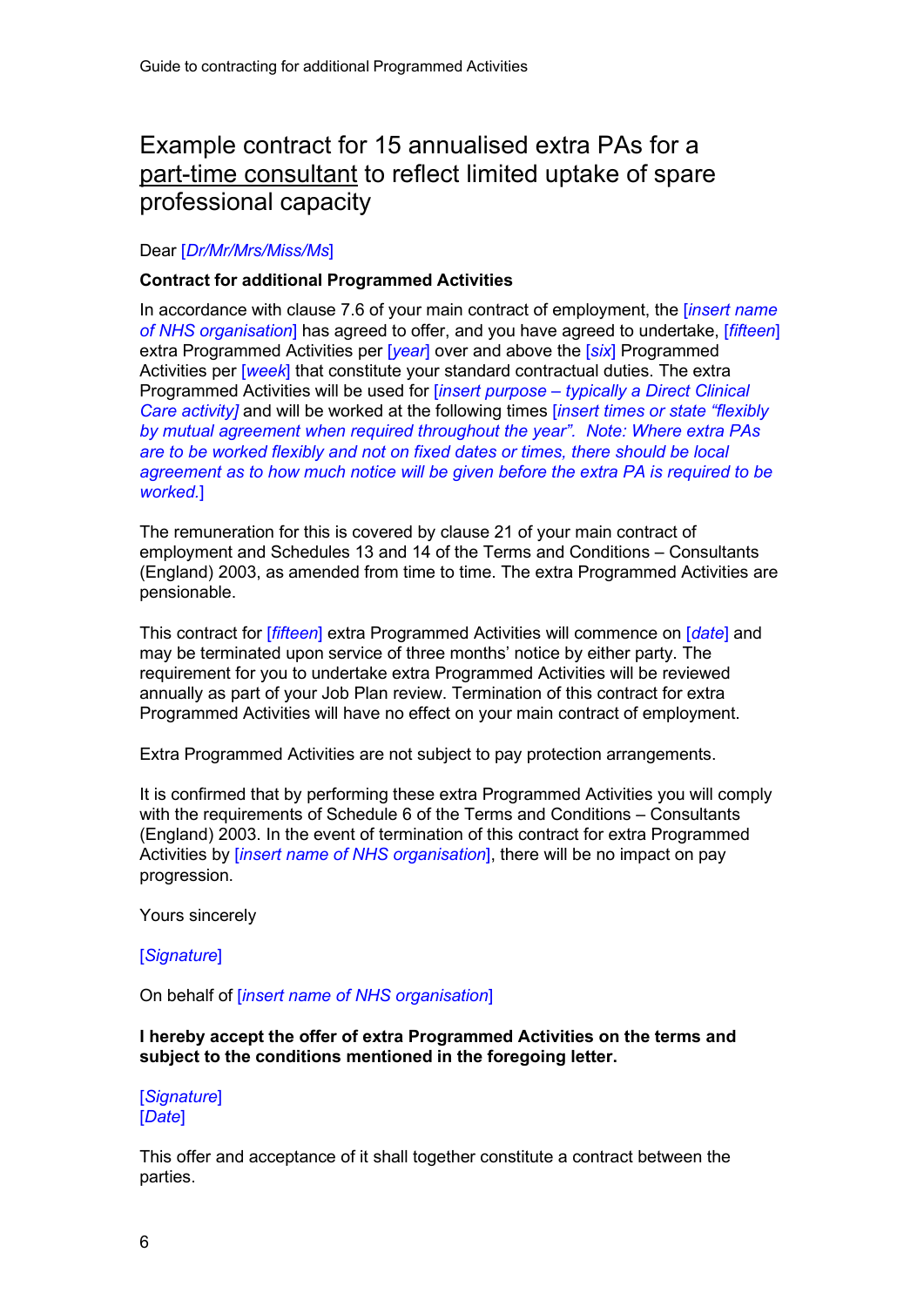### Example contract for 15 annualised extra PAs for a part-time consultant to reflect limited uptake of spare professional capacity

#### Dear [*Dr/Mr/Mrs/Miss/Ms*]

#### **Contract for additional Programmed Activities**

In accordance with clause 7.6 of your main contract of employment, the [*insert name of NHS organisation*] has agreed to offer, and you have agreed to undertake, [*fifteen*] extra Programmed Activities per [*year*] over and above the [*six*] Programmed Activities per [*week*] that constitute your standard contractual duties. The extra Programmed Activities will be used for [*insert purpose – typically a Direct Clinical Care activity]* and will be worked at the following times [*insert times or state "flexibly by mutual agreement when required throughout the year". Note: Where extra PAs are to be worked flexibly and not on fixed dates or times, there should be local agreement as to how much notice will be given before the extra PA is required to be worked.*]

The remuneration for this is covered by clause 21 of your main contract of employment and Schedules 13 and 14 of the Terms and Conditions – Consultants (England) 2003, as amended from time to time. The extra Programmed Activities are pensionable.

This contract for [*fifteen*] extra Programmed Activities will commence on [*date*] and may be terminated upon service of three months' notice by either party. The requirement for you to undertake extra Programmed Activities will be reviewed annually as part of your Job Plan review. Termination of this contract for extra Programmed Activities will have no effect on your main contract of employment.

Extra Programmed Activities are not subject to pay protection arrangements.

It is confirmed that by performing these extra Programmed Activities you will comply with the requirements of Schedule 6 of the Terms and Conditions – Consultants (England) 2003. In the event of termination of this contract for extra Programmed Activities by [*insert name of NHS organisation*], there will be no impact on pay progression.

Yours sincerely

#### [*Signature*]

On behalf of [*insert name of NHS organisation*]

**I hereby accept the offer of extra Programmed Activities on the terms and subject to the conditions mentioned in the foregoing letter.**

[*Signature*] [*Date*]

This offer and acceptance of it shall together constitute a contract between the parties.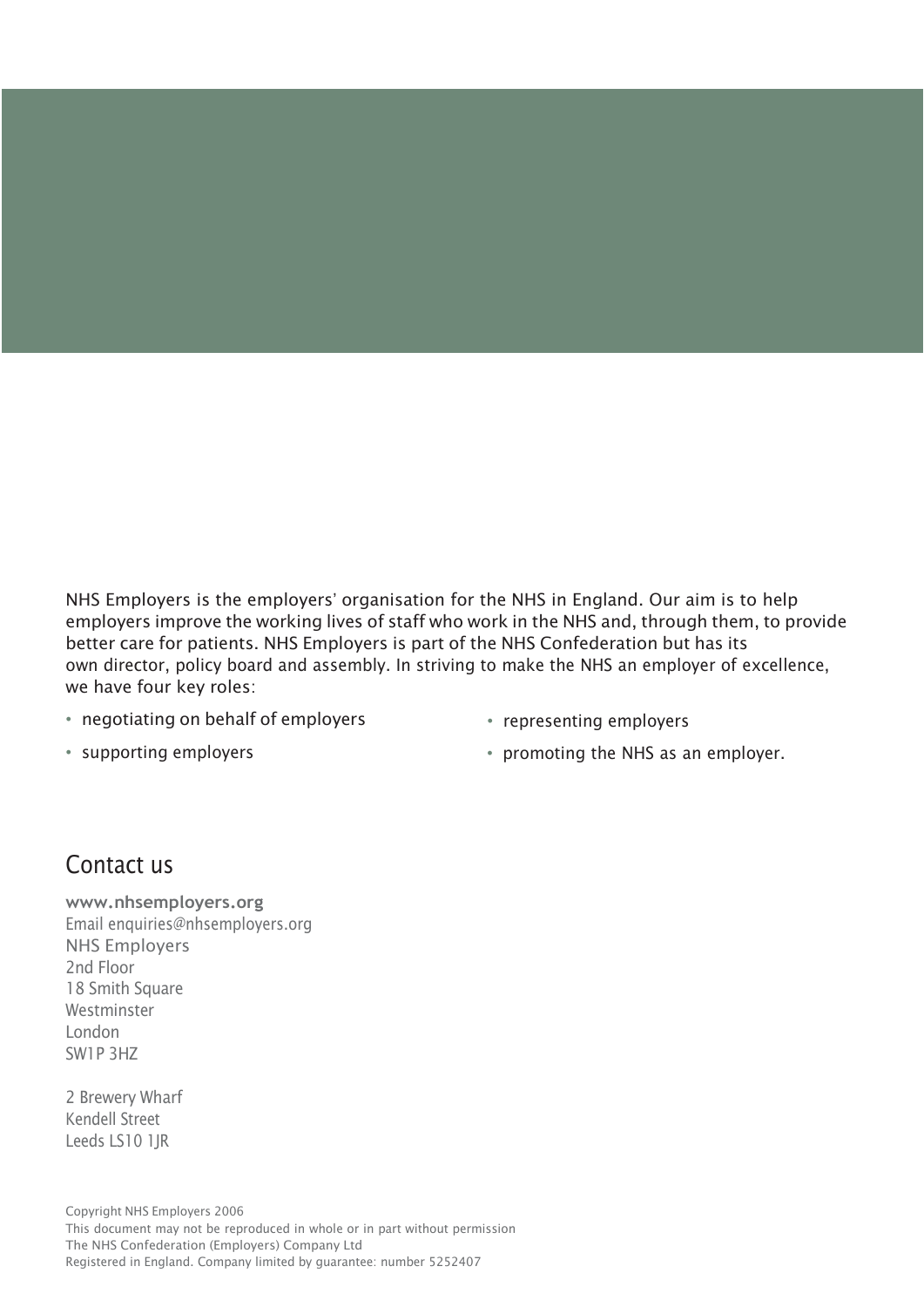NHS Employers is the employers' organisation for the NHS in England. Our aim is to help employers improve the working lives of staff who work in the NHS and, through them, to provide better care for patients. NHS Employers is part of the NHS Confederation but has its own director, policy board and assembly. In striving to make the NHS an employer of excellence, we have four key roles:

- negotiating on behalf of employers
- representing employers

• supporting employers

• promoting the NHS as an employer.

### Contact us

**[www.nhsemployers.org](http://www.nhsemployers.org/)** Email [enquiries@nhsemployers.org](mailto:enquiries@nhsemployers.org) NHS Employers 2nd Floor 18 Smith Square Westminster London SW1P 3HZ

2 Brewery Wharf Kendell Street Leeds LS10 1JR